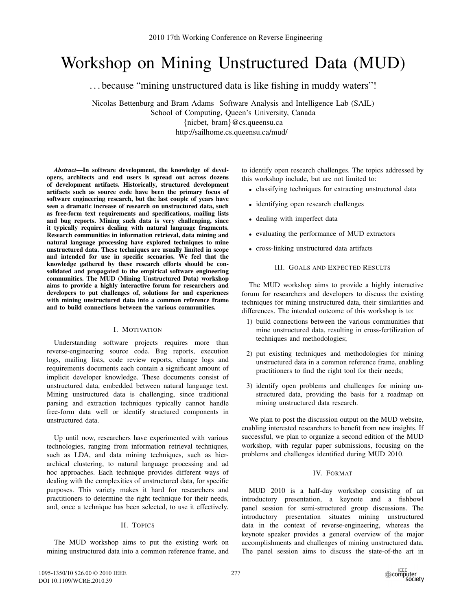# Workshop on Mining Unstructured Data (MUD)

. . . because "mining unstructured data is like fishing in muddy waters"!

Nicolas Bettenburg and Bram Adams Software Analysis and Intelligence Lab (SAIL) School of Computing, Queen's University, Canada {nicbet, bram}@cs.queensu.ca http://sailhome.cs.queensu.ca/mud/

*Abstract*—In software development, the knowledge of developers, architects and end users is spread out across dozens of development artifacts. Historically, structured development artifacts such as source code have been the primary focus of software engineering research, but the last couple of years have seen a dramatic increase of research on unstructured data, such as free-form text requirements and specifications, mailing lists and bug reports. Mining such data is very challenging, since it typically requires dealing with natural language fragments. Research communities in information retrieval, data mining and natural language processing have explored techniques to mine unstructured data. These techniques are usually limited in scope and intended for use in specific scenarios. We feel that the knowledge gathered by these research efforts should be consolidated and propagated to the empirical software engineering communities. The MUD (Mining Unstructured Data) workshop aims to provide a highly interactive forum for researchers and developers to put challenges of, solutions for and experiences with mining unstructured data into a common reference frame and to build connections between the various communities.

## I. MOTIVATION

Understanding software projects requires more than reverse-engineering source code. Bug reports, execution logs, mailing lists, code review reports, change logs and requirements documents each contain a significant amount of implicit developer knowledge. These documents consist of unstructured data, embedded between natural language text. Mining unstructured data is challenging, since traditional parsing and extraction techniques typically cannot handle free-form data well or identify structured components in unstructured data.

Up until now, researchers have experimented with various technologies, ranging from information retrieval techniques, such as LDA, and data mining techniques, such as hierarchical clustering, to natural language processing and ad hoc approaches. Each technique provides different ways of dealing with the complexities of unstructured data, for specific purposes. This variety makes it hard for researchers and practitioners to determine the right technique for their needs, and, once a technique has been selected, to use it effectively.

## II. TOPICS

The MUD workshop aims to put the existing work on mining unstructured data into a common reference frame, and

to identify open research challenges. The topics addressed by this workshop include, but are not limited to:

- classifying techniques for extracting unstructured data
- identifying open research challenges
- dealing with imperfect data
- evaluating the performance of MUD extractors
- cross-linking unstructured data artifacts

# III. GOALS AND EXPECTED RESULTS

The MUD workshop aims to provide a highly interactive forum for researchers and developers to discuss the existing techniques for mining unstructured data, their similarities and differences. The intended outcome of this workshop is to:

- 1) build connections between the various communities that mine unstructured data, resulting in cross-fertilization of techniques and methodologies;
- 2) put existing techniques and methodologies for mining unstructured data in a common reference frame, enabling practitioners to find the right tool for their needs;
- 3) identify open problems and challenges for mining unstructured data, providing the basis for a roadmap on mining unstructured data research.

We plan to post the discussion output on the MUD website, enabling interested researchers to benefit from new insights. If successful, we plan to organize a second edition of the MUD workshop, with regular paper submissions, focusing on the problems and challenges identified during MUD 2010.

### IV. FORMAT

MUD 2010 is a half-day workshop consisting of an introductory presentation, a keynote and a fishbowl panel session for semi-structured group discussions. The introductory presentation situates mining unstructured data in the context of reverse-engineering, whereas the keynote speaker provides a general overview of the major accomplishments and challenges of mining unstructured data. The panel session aims to discuss the state-of-the art in